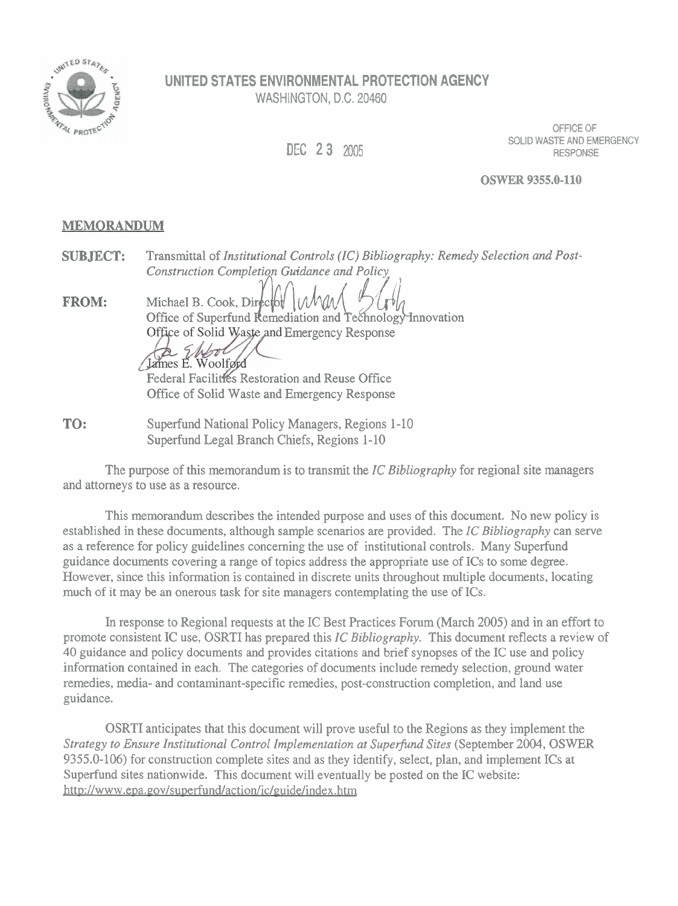

## **UNITED STATES ENVIRONMENTAL PROTECTION AGENCY**  WASHINGTON, D.C. 20460

**DEC 23** 2005

OFFICE OF SOLID WASTE AND EMERGENCY RESPONSE

**OSWER 9355.0-110** 

## **MEMORANDUM**

**SUBJECT:** Transmittal of *Institutional Controls (IC) Bibliography: Remedy Selection and Post-Construction Completion Guidance and Policy*  Michael B. Cook, Dip{\ **VLdAat{** \$&k Office of Superfund emediation and ec olog ovation **FROM:**  Office of Solid Waste and Emergency Response James E. Woolfgyd Federal Facilities Restoration and Reuse Office Office of Solid Waste and Emergency Response

**TO:** Superfund National Policy Managers, Regions 1-10 Superfund Legal Branch Chiefs, Regions 1-10

The purpose of this memorandum is to transmit the *IC Bibliography* for regional site managers and attorneys to use as a resource.

This memorandum describes the intended purpose and uses of this document. No new policy is established in these documents, although sample scenarios are provided. The *IC Bibliography* can serve as a reference for policy guidelines concerning the use of institutional controls. Many Superfund guidance documents covering a range of topics address the appropriate use of ICs to some degree. However, since this information is contained in discrete units throughout multiple documents, locating much of it may be an onerous task for site managers contemplating the use of ICs.

In response to Regional requests at the IC Best Practices Forum (March 2005) and in an effort to promote consistent IC use, OSRTI has prepared this *IC Bibliography.* This document reflects a review of 40 guidance and policy documents and provides citations and brief synopses of the IC use and policy information contained in each. The categories of documents include remedy selection, ground water remedies, media- and contaminant-specific remedies, post-construction completion, and land use guidance.

OSRTI anticipates that this document will prove useful to the Regions as they implement the *Strategy to Ensure Institutional Control Implementation at Supefind Sites* (September *2004,* OSWER 9355.0-106) for construction complete sites and as they identify, select, plan, and implement ICs at Superfund sites nationwide. This document will eventually be posted on the IC website: http://www.epa.gov/superfund/action/ic/guide/index.htm